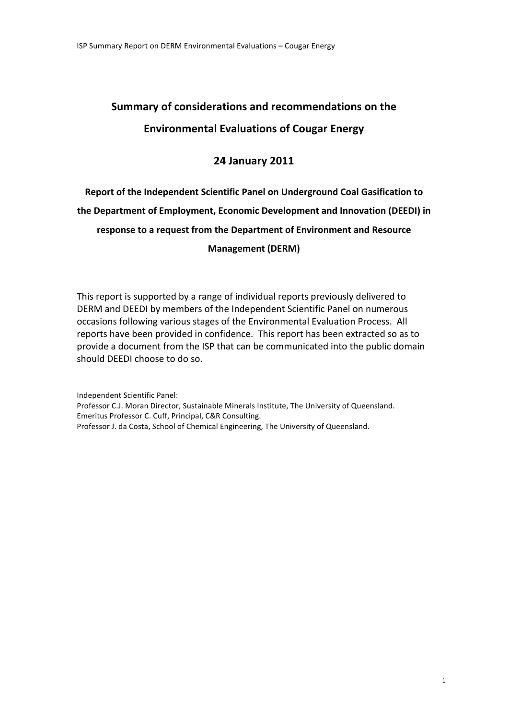# **Summary'of'considerations'and'recommendations'on'the' Environmental'Evaluations'of'Cougar'Energy**

## **24'January'2011**

# **Report'of'the'Independent'Scientific'Panel'on'Underground'Coal'Gasification'to'** the Department of Employment, Economic Development and Innovation (DEEDI) in response to a request from the Department of Environment and Resource **Management'(DERM)**

This report is supported by a range of individual reports previously delivered to DERM and DEEDI by members of the Independent Scientific Panel on numerous occasions following various stages of the Environmental Evaluation Process. All reports have been provided in confidence. This report has been extracted so as to provide a document from the ISP that can be communicated into the public domain should DEEDI choose to do so.

Independent Scientific Panel: Professor C.J. Moran Director, Sustainable Minerals Institute, The University of Queensland. Emeritus Professor C. Cuff, Principal, C&R Consulting. Professor J. da Costa, School of Chemical Engineering, The University of Queensland.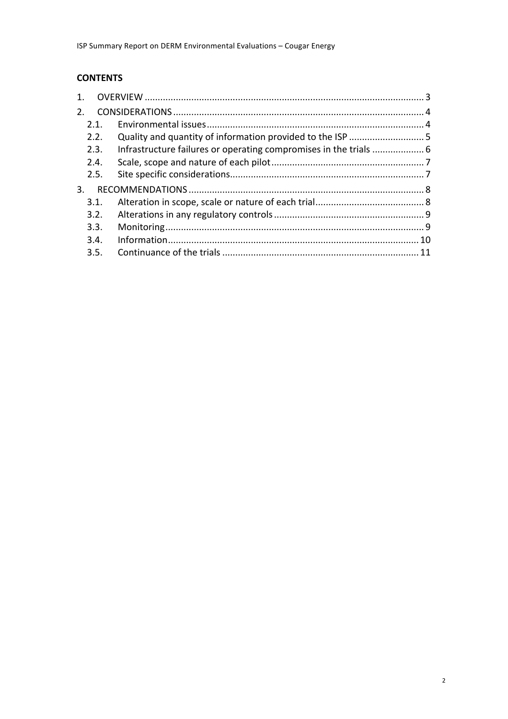## **CONTENTS**

| $1_{\cdot}$ |      |  |
|-------------|------|--|
| 2.          |      |  |
|             | 2.1. |  |
|             | 2.2. |  |
|             | 2.3. |  |
|             | 2.4. |  |
|             | 2.5. |  |
| 3.          |      |  |
|             | 3.1. |  |
|             | 3.2. |  |
|             | 3.3. |  |
|             | 3.4. |  |
|             | 3.5. |  |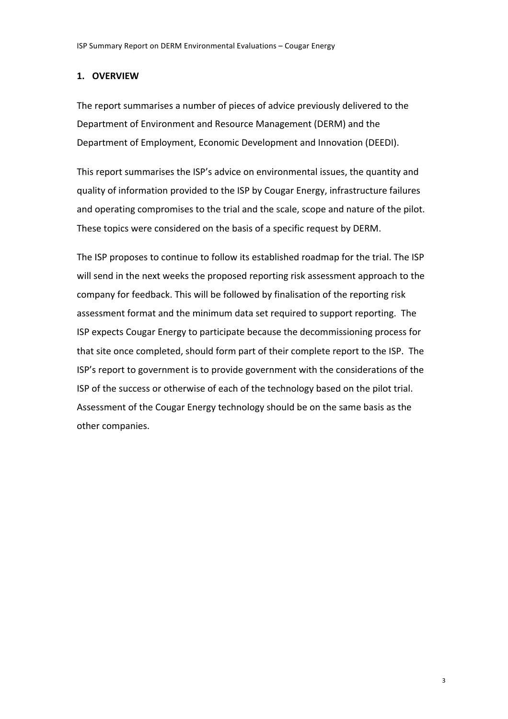## **1. OVERVIEW**

The report summarises a number of pieces of advice previously delivered to the Department of Environment and Resource Management (DERM) and the Department of Employment, Economic Development and Innovation (DEEDI).

This report summarises the ISP's advice on environmental issues, the quantity and quality of information provided to the ISP by Cougar Energy, infrastructure failures and operating compromises to the trial and the scale, scope and nature of the pilot. These topics were considered on the basis of a specific request by DERM.

The ISP proposes to continue to follow its established roadmap for the trial. The ISP will send in the next weeks the proposed reporting risk assessment approach to the company for feedback. This will be followed by finalisation of the reporting risk assessment format and the minimum data set required to support reporting. The ISP expects Cougar Energy to participate because the decommissioning process for that site once completed, should form part of their complete report to the ISP. The ISP's report to government is to provide government with the considerations of the ISP of the success or otherwise of each of the technology based on the pilot trial. Assessment of the Cougar Energy technology should be on the same basis as the other companies.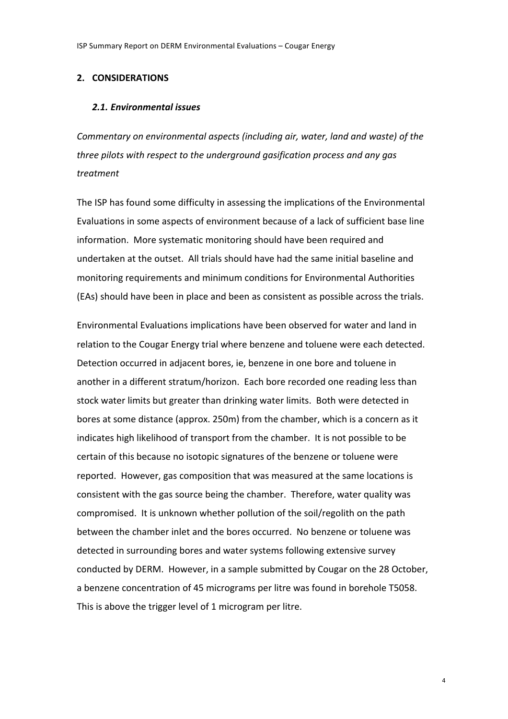#### 2. CONSIDERATIONS

#### 2.1. Environmental issues

Commentary on environmental aspects (including air, water, land and waste) of the three pilots with respect to the underground gasification process and any gas treatment

The ISP has found some difficulty in assessing the implications of the Environmental Evaluations in some aspects of environment because of a lack of sufficient base line information. More systematic monitoring should have been required and undertaken at the outset. All trials should have had the same initial baseline and monitoring requirements and minimum conditions for Environmental Authorities (EAs) should have been in place and been as consistent as possible across the trials.

Environmental Evaluations implications have been observed for water and land in relation to the Cougar Energy trial where benzene and toluene were each detected. Detection occurred in adjacent bores, ie, benzene in one bore and toluene in another in a different stratum/horizon. Each bore recorded one reading less than stock water limits but greater than drinking water limits. Both were detected in bores at some distance (approx. 250m) from the chamber, which is a concern as it indicates high likelihood of transport from the chamber. It is not possible to be certain of this because no isotopic signatures of the benzene or toluene were reported. However, gas composition that was measured at the same locations is consistent with the gas source being the chamber. Therefore, water quality was compromised. It is unknown whether pollution of the soil/regolith on the path between the chamber inlet and the bores occurred. No benzene or toluene was detected in surrounding bores and water systems following extensive survey conducted by DERM. However, in a sample submitted by Cougar on the 28 October, a benzene concentration of 45 micrograms per litre was found in borehole T5058. This is above the trigger level of 1 microgram per litre.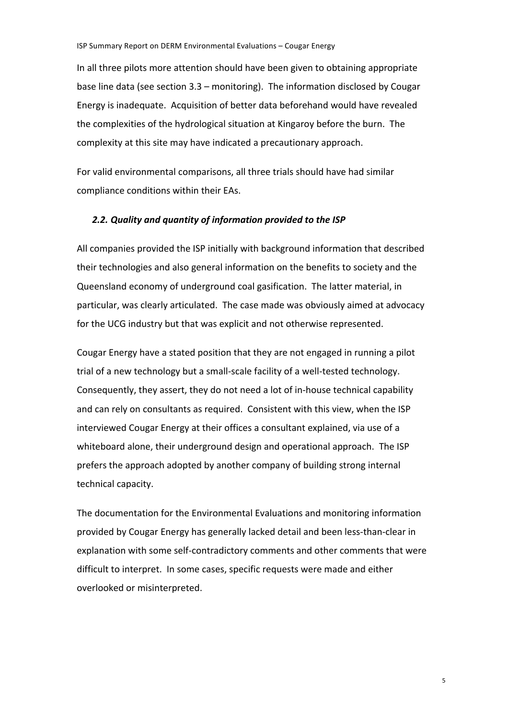In all three pilots more attention should have been given to obtaining appropriate base line data (see section  $3.3$  – monitoring). The information disclosed by Cougar Energy is inadequate. Acquisition of better data beforehand would have revealed the complexities of the hydrological situation at Kingaroy before the burn. The complexity at this site may have indicated a precautionary approach.

For valid environmental comparisons, all three trials should have had similar compliance conditions within their EAs.

## 2.2. Quality and quantity of information provided to the ISP

All companies provided the ISP initially with background information that described their technologies and also general information on the benefits to society and the Queensland economy of underground coal gasification. The latter material, in particular, was clearly articulated. The case made was obviously aimed at advocacy for the UCG industry but that was explicit and not otherwise represented.

Cougar Energy have a stated position that they are not engaged in running a pilot trial of a new technology but a small-scale facility of a well-tested technology. Consequently, they assert, they do not need a lot of in-house technical capability and can rely on consultants as required. Consistent with this view, when the ISP interviewed Cougar Energy at their offices a consultant explained, via use of a whiteboard alone, their underground design and operational approach. The ISP prefers the approach adopted by another company of building strong internal technical capacity.

The documentation for the Environmental Evaluations and monitoring information provided by Cougar Energy has generally lacked detail and been less-than-clear in explanation with some self-contradictory comments and other comments that were difficult to interpret. In some cases, specific requests were made and either overlooked or misinterpreted.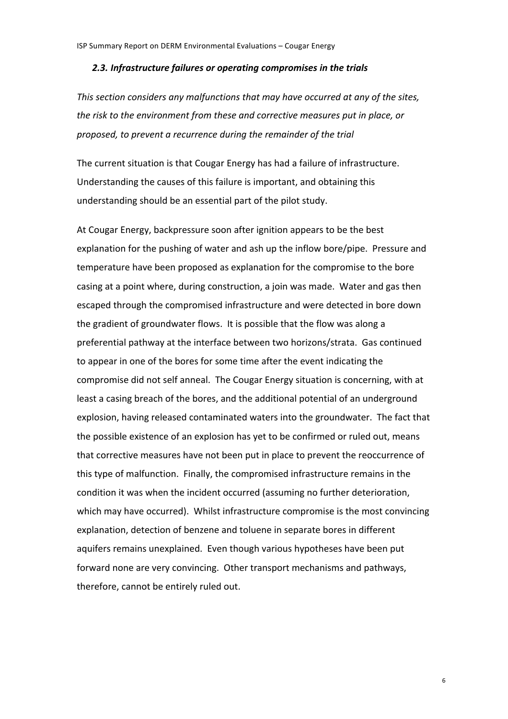#### 2.3. Infrastructure failures or operating compromises in the trials

This section considers any malfunctions that may have occurred at any of the sites, the risk to the environment from these and corrective measures put in place, or proposed, to prevent a recurrence during the remainder of the trial

The current situation is that Cougar Energy has had a failure of infrastructure. Understanding the causes of this failure is important, and obtaining this understanding should be an essential part of the pilot study.

At Cougar Energy, backpressure soon after ignition appears to be the best explanation for the pushing of water and ash up the inflow bore/pipe. Pressure and temperature have been proposed as explanation for the compromise to the bore casing at a point where, during construction, a join was made. Water and gas then escaped through the compromised infrastructure and were detected in bore down the gradient of groundwater flows. It is possible that the flow was along a preferential pathway at the interface between two horizons/strata. Gas continued to appear in one of the bores for some time after the event indicating the compromise did not self anneal. The Cougar Energy situation is concerning, with at least a casing breach of the bores, and the additional potential of an underground explosion, having released contaminated waters into the groundwater. The fact that the possible existence of an explosion has yet to be confirmed or ruled out, means that corrective measures have not been put in place to prevent the reoccurrence of this type of malfunction. Finally, the compromised infrastructure remains in the condition it was when the incident occurred (assuming no further deterioration, which may have occurred). Whilst infrastructure compromise is the most convincing explanation, detection of benzene and toluene in separate bores in different aquifers remains unexplained. Even though various hypotheses have been put forward none are very convincing. Other transport mechanisms and pathways, therefore, cannot be entirely ruled out.

6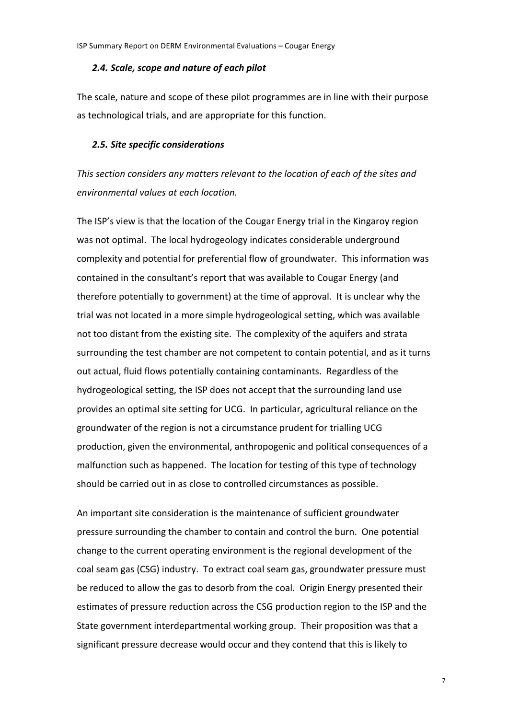#### 2.4. Scale, scope and nature of each pilot

The scale, nature and scope of these pilot programmes are in line with their purpose as technological trials, and are appropriate for this function.

### 2.5. Site specific considerations

This section considers any matters relevant to the location of each of the sites and environmental values at each location.

The ISP's view is that the location of the Cougar Energy trial in the Kingaroy region was not optimal. The local hydrogeology indicates considerable underground complexity and potential for preferential flow of groundwater. This information was contained in the consultant's report that was available to Cougar Energy (and therefore potentially to government) at the time of approval. It is unclear why the trial was not located in a more simple hydrogeological setting, which was available not too distant from the existing site. The complexity of the aquifers and strata surrounding the test chamber are not competent to contain potential, and as it turns out actual, fluid flows potentially containing contaminants. Regardless of the hydrogeological setting, the ISP does not accept that the surrounding land use provides an optimal site setting for UCG. In particular, agricultural reliance on the groundwater of the region is not a circumstance prudent for trialling UCG production, given the environmental, anthropogenic and political consequences of a malfunction such as happened. The location for testing of this type of technology should be carried out in as close to controlled circumstances as possible.

An important site consideration is the maintenance of sufficient groundwater pressure surrounding the chamber to contain and control the burn. One potential change to the current operating environment is the regional development of the coal seam gas (CSG) industry. To extract coal seam gas, groundwater pressure must be reduced to allow the gas to desorb from the coal. Origin Energy presented their estimates of pressure reduction across the CSG production region to the ISP and the State government interdepartmental working group. Their proposition was that a significant pressure decrease would occur and they contend that this is likely to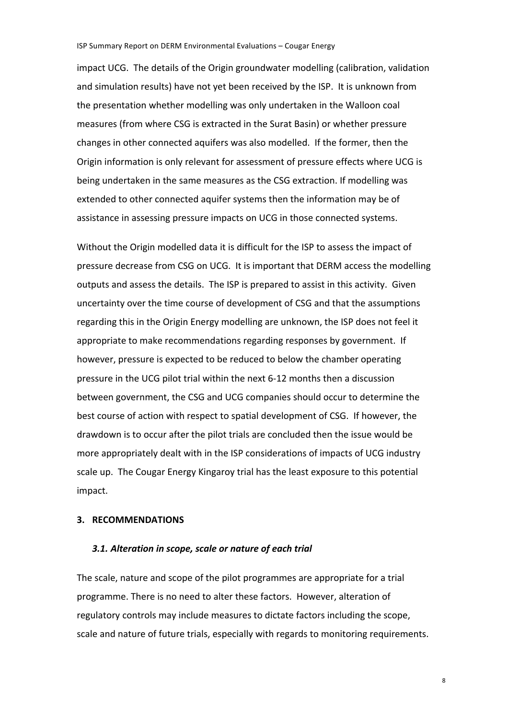#### ISP Summary Report on DERM Environmental Evaluations - Cougar Energy

impact UCG. The details of the Origin groundwater modelling (calibration, validation and simulation results) have not yet been received by the ISP. It is unknown from the presentation whether modelling was only undertaken in the Walloon coal measures (from where CSG is extracted in the Surat Basin) or whether pressure changes in other connected aquifers was also modelled. If the former, then the Origin information is only relevant for assessment of pressure effects where UCG is being undertaken in the same measures as the CSG extraction. If modelling was extended to other connected aquifer systems then the information may be of assistance in assessing pressure impacts on UCG in those connected systems.

Without the Origin modelled data it is difficult for the ISP to assess the impact of pressure decrease from CSG on UCG. It is important that DERM access the modelling outputs and assess the details. The ISP is prepared to assist in this activity. Given uncertainty over the time course of development of CSG and that the assumptions regarding this in the Origin Energy modelling are unknown, the ISP does not feel it appropriate to make recommendations regarding responses by government. If however, pressure is expected to be reduced to below the chamber operating pressure in the UCG pilot trial within the next 6-12 months then a discussion between government, the CSG and UCG companies should occur to determine the best course of action with respect to spatial development of CSG. If however, the drawdown is to occur after the pilot trials are concluded then the issue would be more appropriately dealt with in the ISP considerations of impacts of UCG industry scale up. The Cougar Energy Kingaroy trial has the least exposure to this potential impact.

## 3. RECOMMENDATIONS

#### 3.1. Alteration in scope, scale or nature of each trial

The scale, nature and scope of the pilot programmes are appropriate for a trial programme. There is no need to alter these factors. However, alteration of regulatory controls may include measures to dictate factors including the scope, scale and nature of future trials, especially with regards to monitoring requirements.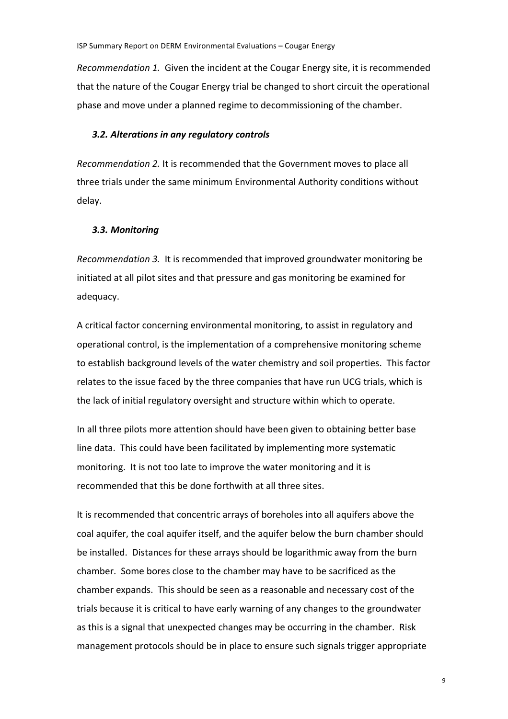*Recommendation 1.* Given the incident at the Cougar Energy site, it is recommended that the nature of the Cougar Energy trial be changed to short circuit the operational phase and move under a planned regime to decommissioning of the chamber.

#### **3.2. Alterations in any regulatory controls**

*Recommendation 2.* It is recommended that the Government moves to place all three trials under the same minimum Environmental Authority conditions without delay.

#### *3.3. Monitoring*

*Recommendation 3.* It is recommended that improved groundwater monitoring be initiated at all pilot sites and that pressure and gas monitoring be examined for adequacy.

A critical factor concerning environmental monitoring, to assist in regulatory and operational control, is the implementation of a comprehensive monitoring scheme to establish background levels of the water chemistry and soil properties. This factor relates to the issue faced by the three companies that have run UCG trials, which is the lack of initial regulatory oversight and structure within which to operate.

In all three pilots more attention should have been given to obtaining better base line data. This could have been facilitated by implementing more systematic monitoring. It is not too late to improve the water monitoring and it is recommended that this be done forthwith at all three sites.

It is recommended that concentric arrays of boreholes into all aquifers above the coal aquifer, the coal aquifer itself, and the aquifer below the burn chamber should be installed. Distances for these arrays should be logarithmic away from the burn chamber. Some bores close to the chamber may have to be sacrificed as the chamber expands. This should be seen as a reasonable and necessary cost of the trials because it is critical to have early warning of any changes to the groundwater as this is a signal that unexpected changes may be occurring in the chamber. Risk management protocols should be in place to ensure such signals trigger appropriate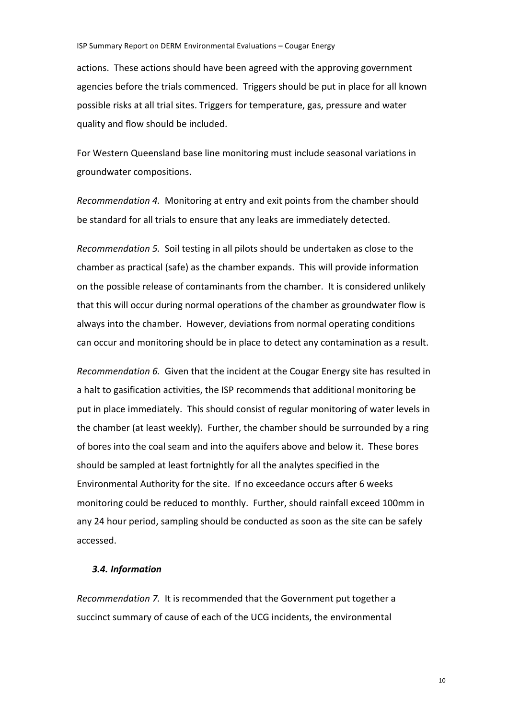actions. These actions should have been agreed with the approving government agencies before the trials commenced. Triggers should be put in place for all known possible risks at all trial sites. Triggers for temperature, gas, pressure and water quality and flow should be included.

For Western Queensland base line monitoring must include seasonal variations in groundwater compositions.

*Recommendation 4.* Monitoring at entry and exit points from the chamber should be standard for all trials to ensure that any leaks are immediately detected.

*Recommendation 5.* Soil testing in all pilots should be undertaken as close to the chamber as practical (safe) as the chamber expands. This will provide information on the possible release of contaminants from the chamber. It is considered unlikely that this will occur during normal operations of the chamber as groundwater flow is always into the chamber. However, deviations from normal operating conditions can occur and monitoring should be in place to detect any contamination as a result.

*Recommendation 6.* Given that the incident at the Cougar Energy site has resulted in a halt to gasification activities, the ISP recommends that additional monitoring be put in place immediately. This should consist of regular monitoring of water levels in the chamber (at least weekly). Further, the chamber should be surrounded by a ring of bores into the coal seam and into the aquifers above and below it. These bores should be sampled at least fortnightly for all the analytes specified in the Environmental Authority for the site. If no exceedance occurs after 6 weeks monitoring could be reduced to monthly. Further, should rainfall exceed 100mm in any 24 hour period, sampling should be conducted as soon as the site can be safely accessed.

## *3.4. Information*

*Recommendation 7.* It is recommended that the Government put together a succinct summary of cause of each of the UCG incidents, the environmental

10